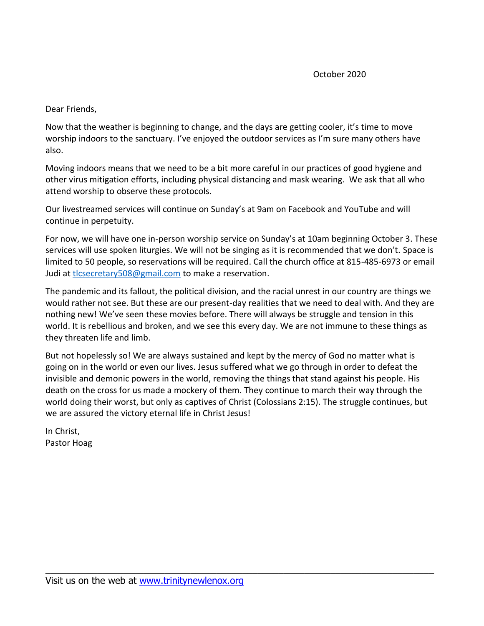Dear Friends,

Now that the weather is beginning to change, and the days are getting cooler, it's time to move worship indoors to the sanctuary. I've enjoyed the outdoor services as I'm sure many others have also.

Moving indoors means that we need to be a bit more careful in our practices of good hygiene and other virus mitigation efforts, including physical distancing and mask wearing. We ask that all who attend worship to observe these protocols.

Our livestreamed services will continue on Sunday's at 9am on Facebook and YouTube and will continue in perpetuity.

For now, we will have one in-person worship service on Sunday's at 10am beginning October 3. These services will use spoken liturgies. We will not be singing as it is recommended that we don't. Space is limited to 50 people, so reservations will be required. Call the church office at 815-485-6973 or email Judi at [tlcsecretary508@gmail.com](mailto:tlcsecretary508@gmail.com) to make a reservation.

The pandemic and its fallout, the political division, and the racial unrest in our country are things we would rather not see. But these are our present-day realities that we need to deal with. And they are nothing new! We've seen these movies before. There will always be struggle and tension in this world. It is rebellious and broken, and we see this every day. We are not immune to these things as they threaten life and limb.

But not hopelessly so! We are always sustained and kept by the mercy of God no matter what is going on in the world or even our lives. Jesus suffered what we go through in order to defeat the invisible and demonic powers in the world, removing the things that stand against his people. His death on the cross for us made a mockery of them. They continue to march their way through the world doing their worst, but only as captives of Christ (Colossians 2:15). The struggle continues, but we are assured the victory eternal life in Christ Jesus!

\_\_\_\_\_\_\_\_\_\_\_\_\_\_\_\_\_\_\_\_\_\_\_\_\_\_\_\_\_\_\_\_\_\_\_\_\_\_\_\_\_\_\_\_\_\_\_\_\_\_\_\_\_\_\_\_\_\_\_\_\_\_\_\_\_\_\_\_\_\_\_\_\_\_\_

In Christ, Pastor Hoag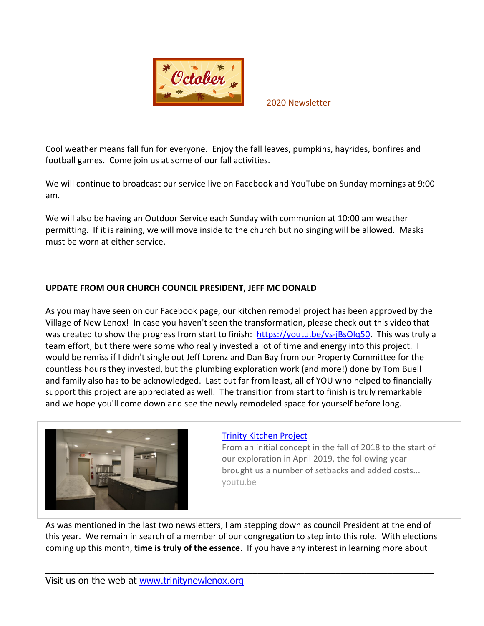

2020 Newsletter

Cool weather means fall fun for everyone. Enjoy the fall leaves, pumpkins, hayrides, bonfires and football games. Come join us at some of our fall activities.

We will continue to broadcast our service live on Facebook and YouTube on Sunday mornings at 9:00 am.

We will also be having an Outdoor Service each Sunday with communion at 10:00 am weather permitting. If it is raining, we will move inside to the church but no singing will be allowed. Masks must be worn at either service.

### **UPDATE FROM OUR CHURCH COUNCIL PRESIDENT, JEFF MC DONALD**

As you may have seen on our Facebook page, our kitchen remodel project has been approved by the Village of New Lenox! In case you haven't seen the transformation, please check out this video that was created to show the progress from start to finish: [https://youtu.be/vs-jBsOIq50.](https://youtu.be/vs-jBsOIq50) This was truly a team effort, but there were some who really invested a lot of time and energy into this project. I would be remiss if I didn't single out Jeff Lorenz and Dan Bay from our Property Committee for the countless hours they invested, but the plumbing exploration work (and more!) done by Tom Buell and family also has to be acknowledged. Last but far from least, all of YOU who helped to financially support this project are appreciated as well. The transition from start to finish is truly remarkable and we hope you'll come down and see the newly remodeled space for yourself before long.



#### [Trinity Kitchen Project](https://youtu.be/vs-jBsOIq50)

From an initial concept in the fall of 2018 to the start of our exploration in April 2019, the following year brought us a number of setbacks and added costs... youtu.be

As was mentioned in the last two newsletters, I am stepping down as council President at the end of this year. We remain in search of a member of our congregation to step into this role. With elections coming up this month, **time is truly of the essence**. If you have any interest in learning more about

\_\_\_\_\_\_\_\_\_\_\_\_\_\_\_\_\_\_\_\_\_\_\_\_\_\_\_\_\_\_\_\_\_\_\_\_\_\_\_\_\_\_\_\_\_\_\_\_\_\_\_\_\_\_\_\_\_\_\_\_\_\_\_\_\_\_\_\_\_\_\_\_\_\_\_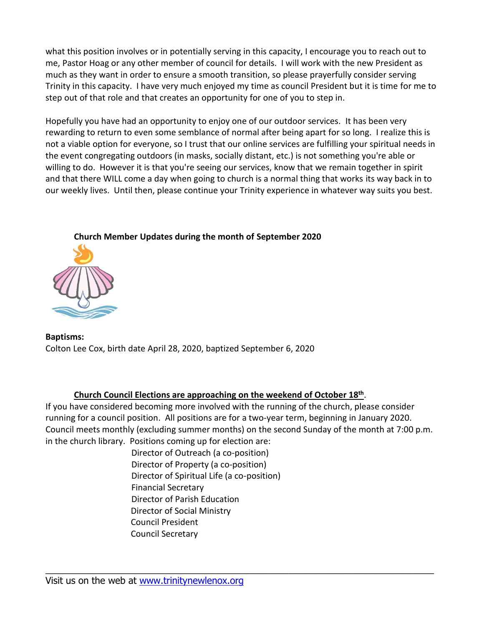what this position involves or in potentially serving in this capacity, I encourage you to reach out to me, Pastor Hoag or any other member of council for details. I will work with the new President as much as they want in order to ensure a smooth transition, so please prayerfully consider serving Trinity in this capacity. I have very much enjoyed my time as council President but it is time for me to step out of that role and that creates an opportunity for one of you to step in.

Hopefully you have had an opportunity to enjoy one of our outdoor services. It has been very rewarding to return to even some semblance of normal after being apart for so long. I realize this is not a viable option for everyone, so I trust that our online services are fulfilling your spiritual needs in the event congregating outdoors (in masks, socially distant, etc.) is not something you're able or willing to do. However it is that you're seeing our services, know that we remain together in spirit and that there WILL come a day when going to church is a normal thing that works its way back in to our weekly lives. Until then, please continue your Trinity experience in whatever way suits you best.



# **Church Member Updates during the month of September 2020**

**Baptisms:** Colton Lee Cox, birth date April 28, 2020, baptized September 6, 2020

## **Church Council Elections are approaching on the weekend of October 18th** .

If you have considered becoming more involved with the running of the church, please consider running for a council position. All positions are for a two-year term, beginning in January 2020. Council meets monthly (excluding summer months) on the second Sunday of the month at 7:00 p.m. in the church library. Positions coming up for election are:

\_\_\_\_\_\_\_\_\_\_\_\_\_\_\_\_\_\_\_\_\_\_\_\_\_\_\_\_\_\_\_\_\_\_\_\_\_\_\_\_\_\_\_\_\_\_\_\_\_\_\_\_\_\_\_\_\_\_\_\_\_\_\_\_\_\_\_\_\_\_\_\_\_\_\_

 Director of Outreach (a co-position) Director of Property (a co-position) Director of Spiritual Life (a co-position) Financial Secretary Director of Parish Education Director of Social Ministry Council President Council Secretary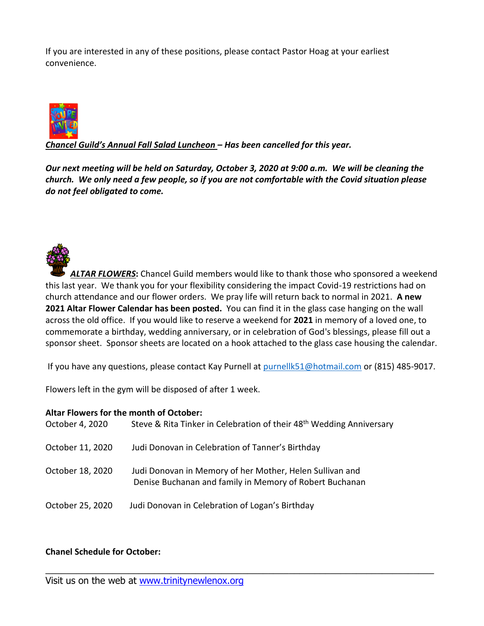If you are interested in any of these positions, please contact Pastor Hoag at your earliest convenience.



*Chancel Guild's Annual Fall Salad Luncheon – Has been cancelled for this year.*

*Our next meeting will be held on Saturday, October 3, 2020 at 9:00 a.m. We will be cleaning the church. We only need a few people, so if you are not comfortable with the Covid situation please do not feel obligated to come.*

*ALTAR FLOWERS***:** Chancel Guild members would like to thank those who sponsored a weekend this last year. We thank you for your flexibility considering the impact Covid-19 restrictions had on church attendance and our flower orders. We pray life will return back to normal in 2021. **A new 2021 Altar Flower Calendar has been posted.** You can find it in the glass case hanging on the wall across the old office. If you would like to reserve a weekend for **2021** in memory of a loved one, to commemorate a birthday, wedding anniversary, or in celebration of God's blessings, please fill out a sponsor sheet. Sponsor sheets are located on a hook attached to the glass case housing the calendar.

If you have any questions, please contact Kay Purnell at [purnellk51@hotmail.com](mailto:purnellk51@hotmail.com) or (815) 485-9017.

Flowers left in the gym will be disposed of after 1 week.

#### **Altar Flowers for the month of October:**

| October 4, 2020  | Steve & Rita Tinker in Celebration of their 48 <sup>th</sup> Wedding Anniversary                                    |
|------------------|---------------------------------------------------------------------------------------------------------------------|
| October 11, 2020 | Judi Donovan in Celebration of Tanner's Birthday                                                                    |
| October 18, 2020 | Judi Donovan in Memory of her Mother, Helen Sullivan and<br>Denise Buchanan and family in Memory of Robert Buchanan |
| October 25, 2020 | Judi Donovan in Celebration of Logan's Birthday                                                                     |

\_\_\_\_\_\_\_\_\_\_\_\_\_\_\_\_\_\_\_\_\_\_\_\_\_\_\_\_\_\_\_\_\_\_\_\_\_\_\_\_\_\_\_\_\_\_\_\_\_\_\_\_\_\_\_\_\_\_\_\_\_\_\_\_\_\_\_\_\_\_\_\_\_\_\_

## **Chanel Schedule for October:**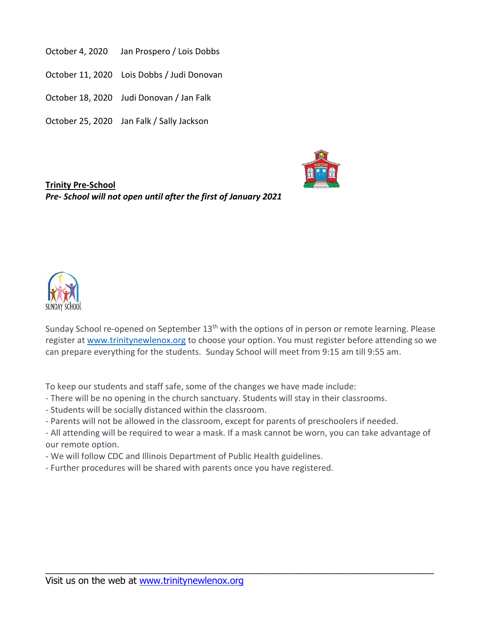- October 4, 2020 Jan Prospero / Lois Dobbs
- October 11, 2020 Lois Dobbs / Judi Donovan
- October 18, 2020 Judi Donovan / Jan Falk
- October 25, 2020 Jan Falk / Sally Jackson



**Trinity Pre-School**  *Pre- School will not open until after the first of January 2021*



Sunday School re-opened on September 13<sup>th</sup> with the options of in person or remote learning. Please register at [www.trinitynewlenox.org](http://www.trinitynewlenox.org/) to choose your option. You must register before attending so we can prepare everything for the students. Sunday School will meet from 9:15 am till 9:55 am.

To keep our students and staff safe, some of the changes we have made include:

- There will be no opening in the church sanctuary. Students will stay in their classrooms.
- Students will be socially distanced within the classroom.
- Parents will not be allowed in the classroom, except for parents of preschoolers if needed.

- All attending will be required to wear a mask. If a mask cannot be worn, you can take advantage of our remote option.

\_\_\_\_\_\_\_\_\_\_\_\_\_\_\_\_\_\_\_\_\_\_\_\_\_\_\_\_\_\_\_\_\_\_\_\_\_\_\_\_\_\_\_\_\_\_\_\_\_\_\_\_\_\_\_\_\_\_\_\_\_\_\_\_\_\_\_\_\_\_\_\_\_\_\_

- We will follow CDC and Illinois Department of Public Health guidelines.

- Further procedures will be shared with parents once you have registered.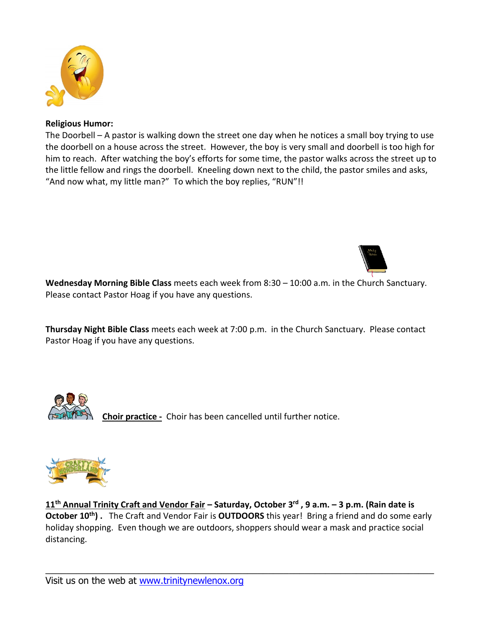

### **Religious Humor:**

The Doorbell – A pastor is walking down the street one day when he notices a small boy trying to use the doorbell on a house across the street. However, the boy is very small and doorbell is too high for him to reach. After watching the boy's efforts for some time, the pastor walks across the street up to the little fellow and rings the doorbell. Kneeling down next to the child, the pastor smiles and asks, "And now what, my little man?" To which the boy replies, "RUN"!!



**Wednesday Morning Bible Class** meets each week from 8:30 – 10:00 a.m. in the Church Sanctuary. Please contact Pastor Hoag if you have any questions.

**Thursday Night Bible Class** meets each week at 7:00 p.m. in the Church Sanctuary. Please contact Pastor Hoag if you have any questions.



**Choir practice -** Choir has been cancelled until further notice.



**11 th Annual Trinity Craft and Vendor Fair – Saturday, October 3 rd , 9 a.m. – 3 p.m. (Rain date is October 10th) .** The Craft and Vendor Fair is **OUTDOORS** this year! Bring a friend and do some early holiday shopping. Even though we are outdoors, shoppers should wear a mask and practice social distancing.

\_\_\_\_\_\_\_\_\_\_\_\_\_\_\_\_\_\_\_\_\_\_\_\_\_\_\_\_\_\_\_\_\_\_\_\_\_\_\_\_\_\_\_\_\_\_\_\_\_\_\_\_\_\_\_\_\_\_\_\_\_\_\_\_\_\_\_\_\_\_\_\_\_\_\_